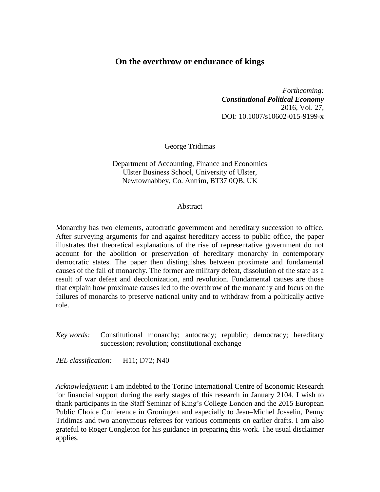# **On the overthrow or endurance of kings**

*Forthcoming: Constitutional Political Economy* 2016, Vol. 27, DOI: 10.1007/s10602-015-9199-x

George Tridimas

Department of Accounting, Finance and Economics Ulster Business School, University of Ulster, Newtownabbey, Co. Antrim, BT37 0QB, UK

#### Abstract

Monarchy has two elements, autocratic government and hereditary succession to office. After surveying arguments for and against hereditary access to public office, the paper illustrates that theoretical explanations of the rise of representative government do not account for the abolition or preservation of hereditary monarchy in contemporary democratic states. The paper then distinguishes between proximate and fundamental causes of the fall of monarchy. The former are military defeat, dissolution of the state as a result of war defeat and decolonization, and revolution. Fundamental causes are those that explain how proximate causes led to the overthrow of the monarchy and focus on the failures of monarchs to preserve national unity and to withdraw from a politically active role.

*Key words:* Constitutional monarchy; autocracy; republic; democracy; hereditary succession; revolution; constitutional exchange

*JEL classification:* H11; D72; N40

*Acknowledgment*: I am indebted to the Torino International Centre of Economic Research for financial support during the early stages of this research in January 2104. I wish to thank participants in the Staff Seminar of King's College London and the 2015 European Public Choice Conference in Groningen and especially to Jean–Michel Josselin, Penny Tridimas and two anonymous referees for various comments on earlier drafts. I am also grateful to Roger Congleton for his guidance in preparing this work. The usual disclaimer applies.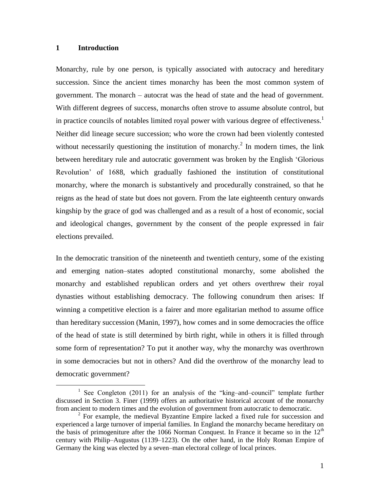#### **1 Introduction**

 $\overline{a}$ 

Monarchy, rule by one person, is typically associated with autocracy and hereditary succession. Since the ancient times monarchy has been the most common system of government. The monarch – autocrat was the head of state and the head of government. With different degrees of success, monarchs often strove to assume absolute control, but in practice councils of notables limited royal power with various degree of effectiveness.<sup>1</sup> Neither did lineage secure succession; who wore the crown had been violently contested without necessarily questioning the institution of monarchy.<sup>2</sup> In modern times, the link between hereditary rule and autocratic government was broken by the English 'Glorious Revolution' of 1688, which gradually fashioned the institution of constitutional monarchy, where the monarch is substantively and procedurally constrained, so that he reigns as the head of state but does not govern. From the late eighteenth century onwards kingship by the grace of god was challenged and as a result of a host of economic, social and ideological changes, government by the consent of the people expressed in fair elections prevailed.

In the democratic transition of the nineteenth and twentieth century, some of the existing and emerging nation–states adopted constitutional monarchy, some abolished the monarchy and established republican orders and yet others overthrew their royal dynasties without establishing democracy. The following conundrum then arises: If winning a competitive election is a fairer and more egalitarian method to assume office than hereditary succession (Manin, 1997), how comes and in some democracies the office of the head of state is still determined by birth right, while in others it is filled through some form of representation? To put it another way, why the monarchy was overthrown in some democracies but not in others? And did the overthrow of the monarchy lead to democratic government?

<sup>&</sup>lt;sup>1</sup> See Congleton (2011) for an analysis of the "king-and-council" template further discussed in Section 3. Finer (1999) offers an authoritative historical account of the monarchy from ancient to modern times and the evolution of government from autocratic to democratic.

 $2^2$  For example, the medieval Byzantine Empire lacked a fixed rule for succession and experienced a large turnover of imperial families. In England the monarchy became hereditary on the basis of primogeniture after the 1066 Norman Conquest. In France it became so in the  $12<sup>th</sup>$ century with Philip–Augustus (1139–1223). On the other hand, in the Holy Roman Empire of Germany the king was elected by a seven–man electoral college of local princes.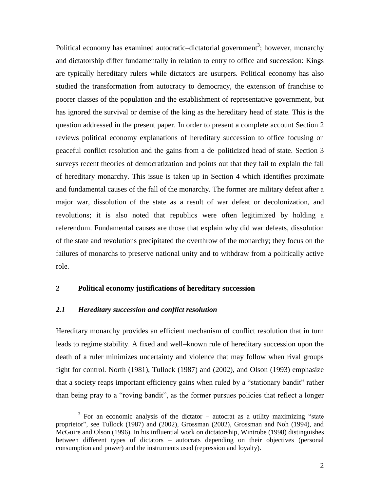Political economy has examined autocratic–dictatorial government<sup>3</sup>; however, monarchy and dictatorship differ fundamentally in relation to entry to office and succession: Kings are typically hereditary rulers while dictators are usurpers. Political economy has also studied the transformation from autocracy to democracy, the extension of franchise to poorer classes of the population and the establishment of representative government, but has ignored the survival or demise of the king as the hereditary head of state. This is the question addressed in the present paper. In order to present a complete account Section 2 reviews political economy explanations of hereditary succession to office focusing on peaceful conflict resolution and the gains from a de–politicized head of state. Section 3 surveys recent theories of democratization and points out that they fail to explain the fall of hereditary monarchy. This issue is taken up in Section 4 which identifies proximate and fundamental causes of the fall of the monarchy. The former are military defeat after a major war, dissolution of the state as a result of war defeat or decolonization, and revolutions; it is also noted that republics were often legitimized by holding a referendum. Fundamental causes are those that explain why did war defeats, dissolution of the state and revolutions precipitated the overthrow of the monarchy; they focus on the failures of monarchs to preserve national unity and to withdraw from a politically active role.

## **2 Political economy justifications of hereditary succession**

#### *2.1 Hereditary succession and conflict resolution*

 $\overline{a}$ 

Hereditary monarchy provides an efficient mechanism of conflict resolution that in turn leads to regime stability. A fixed and well–known rule of hereditary succession upon the death of a ruler minimizes uncertainty and violence that may follow when rival groups fight for control. North (1981), Tullock (1987) and (2002), and Olson (1993) emphasize that a society reaps important efficiency gains when ruled by a "stationary bandit" rather than being pray to a "roving bandit", as the former pursues policies that reflect a longer

 $3$  For an economic analysis of the dictator – autocrat as a utility maximizing "state" proprietor", see Tullock (1987) and (2002), Grossman (2002), Grossman and Noh (1994), and McGuire and Olson (1996). In his influential work on dictatorship, Wintrobe (1998) distinguishes between different types of dictators – autocrats depending on their objectives (personal consumption and power) and the instruments used (repression and loyalty).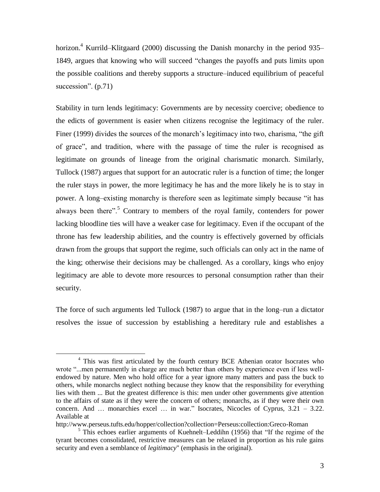horizon.<sup>4</sup> Kurrild–Klitgaard (2000) discussing the Danish monarchy in the period 935– 1849, argues that knowing who will succeed "changes the payoffs and puts limits upon the possible coalitions and thereby supports a structure–induced equilibrium of peaceful succession". (p.71)

Stability in turn lends legitimacy: Governments are by necessity coercive; obedience to the edicts of government is easier when citizens recognise the legitimacy of the ruler. Finer (1999) divides the sources of the monarch's legitimacy into two, charisma, "the gift of grace", and tradition, where with the passage of time the ruler is recognised as legitimate on grounds of lineage from the original charismatic monarch. Similarly, Tullock (1987) argues that support for an autocratic ruler is a function of time; the longer the ruler stays in power, the more legitimacy he has and the more likely he is to stay in power. A long–existing monarchy is therefore seen as legitimate simply because "it has always been there".<sup>5</sup> Contrary to members of the royal family, contenders for power lacking bloodline ties will have a weaker case for legitimacy. Even if the occupant of the throne has few leadership abilities, and the country is effectively governed by officials drawn from the groups that support the regime, such officials can only act in the name of the king; otherwise their decisions may be challenged. As a corollary, kings who enjoy legitimacy are able to devote more resources to personal consumption rather than their security.

The force of such arguments led Tullock (1987) to argue that in the long–run a dictator resolves the issue of succession by establishing a hereditary rule and establishes a

<sup>&</sup>lt;sup>4</sup> This was first articulated by the fourth century BCE Athenian orator Isocrates who wrote "...men permanently in charge are much better than others by experience even if less wellendowed by nature. Men who hold office for a year ignore many matters and pass the buck to others, while monarchs neglect nothing because they know that the responsibility for everything lies with them ... But the greatest difference is this: men under other governments give attention to the affairs of state as if they were the concern of others; monarchs, as if they were their own concern. And … monarchies excel … in war." Isocrates, Nicocles of Cyprus, 3.21 – 3.22. Available at

http://www.perseus.tufts.edu/hopper/collection?collection=Perseus:collection:Greco-Roman

<sup>&</sup>lt;sup>5</sup> This echoes earlier arguments of Kuehnelt–Leddihn (1956) that "If the regime of the tyrant becomes consolidated, restrictive measures can be relaxed in proportion as his rule gains security and even a semblance of *legitimacy*" (emphasis in the original).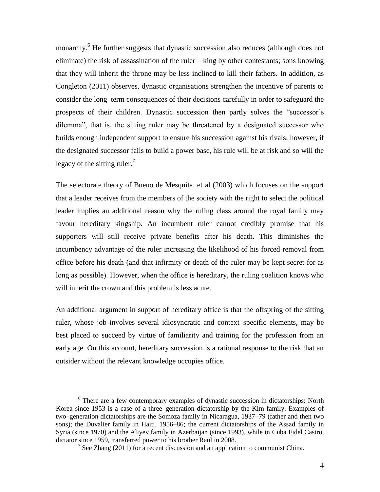monarchy.<sup>6</sup> He further suggests that dynastic succession also reduces (although does not eliminate) the risk of assassination of the ruler – king by other contestants; sons knowing that they will inherit the throne may be less inclined to kill their fathers. In addition, as Congleton (2011) observes, dynastic organisations strengthen the incentive of parents to consider the long–term consequences of their decisions carefully in order to safeguard the prospects of their children. Dynastic succession then partly solves the "successor's dilemma", that is, the sitting ruler may be threatened by a designated successor who builds enough independent support to ensure his succession against his rivals; however, if the designated successor fails to build a power base, his rule will be at risk and so will the legacy of the sitting ruler.<sup>7</sup>

The selectorate theory of Bueno de Mesquita, et al (2003) which focuses on the support that a leader receives from the members of the society with the right to select the political leader implies an additional reason why the ruling class around the royal family may favour hereditary kingship. An incumbent ruler cannot credibly promise that his supporters will still receive private benefits after his death. This diminishes the incumbency advantage of the ruler increasing the likelihood of his forced removal from office before his death (and that infirmity or death of the ruler may be kept secret for as long as possible). However, when the office is hereditary, the ruling coalition knows who will inherit the crown and this problem is less acute.

An additional argument in support of hereditary office is that the offspring of the sitting ruler, whose job involves several idiosyncratic and context–specific elements, may be best placed to succeed by virtue of familiarity and training for the profession from an early age. On this account, hereditary succession is a rational response to the risk that an outsider without the relevant knowledge occupies office.

<sup>&</sup>lt;sup>6</sup> There are a few contemporary examples of dynastic succession in dictatorships: North Korea since 1953 is a case of a three–generation dictatorship by the Kim family. Examples of two–generation dictatorships are the Somoza family in Nicaragua, 1937–79 (father and then two sons); the Duvalier family in Haiti, 1956–86; the current dictatorships of the Assad family in Syria (since 1970) and the Aliyev family in Azerbaijan (since 1993), while in Cuba Fidel Castro, dictator since 1959, transferred power to his brother Raul in 2008.

<sup>&</sup>lt;sup>7</sup> See Zhang (2011) for a recent discussion and an application to communist China.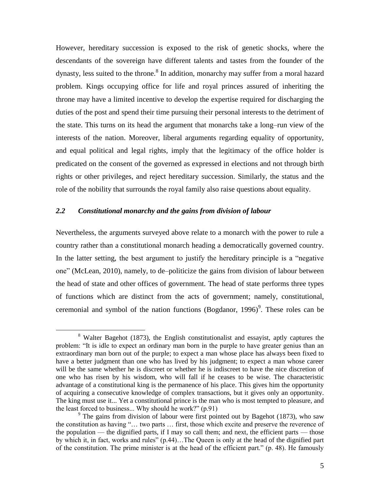However, hereditary succession is exposed to the risk of genetic shocks, where the descendants of the sovereign have different talents and tastes from the founder of the dynasty, less suited to the throne.<sup>8</sup> In addition, monarchy may suffer from a moral hazard problem. Kings occupying office for life and royal princes assured of inheriting the throne may have a limited incentive to develop the expertise required for discharging the duties of the post and spend their time pursuing their personal interests to the detriment of the state. This turns on its head the argument that monarchs take a long–run view of the interests of the nation. Moreover, liberal arguments regarding equality of opportunity, and equal political and legal rights, imply that the legitimacy of the office holder is predicated on the consent of the governed as expressed in elections and not through birth rights or other privileges, and reject hereditary succession. Similarly, the status and the role of the nobility that surrounds the royal family also raise questions about equality.

### *2.2 Constitutional monarchy and the gains from division of labour*

 $\overline{a}$ 

Nevertheless, the arguments surveyed above relate to a monarch with the power to rule a country rather than a constitutional monarch heading a democratically governed country. In the latter setting, the best argument to justify the hereditary principle is a "negative one" (McLean, 2010), namely, to de–politicize the gains from division of labour between the head of state and other offices of government. The head of state performs three types of functions which are distinct from the acts of government; namely, constitutional, ceremonial and symbol of the nation functions (Bogdanor, 1996)<sup>9</sup>. These roles can be

<sup>&</sup>lt;sup>8</sup> Walter Bagehot (1873), the English constitutionalist and essayist, aptly captures the problem: "It is idle to expect an ordinary man born in the purple to have greater genius than an extraordinary man born out of the purple; to expect a man whose place has always been fixed to have a better judgment than one who has lived by his judgment; to expect a man whose career will be the same whether he is discreet or whether he is indiscreet to have the nice discretion of one who has risen by his wisdom, who will fall if he ceases to be wise. The characteristic advantage of a constitutional king is the permanence of his place. This gives him the opportunity of acquiring a consecutive knowledge of complex transactions, but it gives only an opportunity. The king must use it... Yet a constitutional prince is the man who is most tempted to pleasure, and the least forced to business... Why should he work?" (p.91)

<sup>&</sup>lt;sup>9</sup> The gains from division of labour were first pointed out by Bagehot (1873), who saw the constitution as having "… two parts … first, those which excite and preserve the reverence of the population — the dignified parts, if I may so call them; and next, the efficient parts — those by which it, in fact, works and rules" (p.44)…The Queen is only at the head of the dignified part of the constitution. The prime minister is at the head of the efficient part." (p. 48). He famously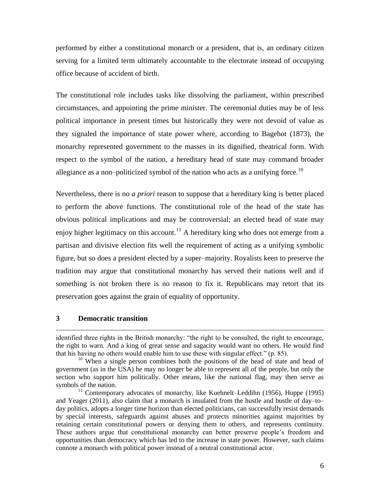performed by either a constitutional monarch or a president, that is, an ordinary citizen serving for a limited term ultimately accountable to the electorate instead of occupying office because of accident of birth.

The constitutional role includes tasks like dissolving the parliament, within prescribed circumstances, and appointing the prime minister. The ceremonial duties may be of less political importance in present times but historically they were not devoid of value as they signaled the importance of state power where, according to Bagehot (1873), the monarchy represented government to the masses in its dignified, theatrical form. With respect to the symbol of the nation, a hereditary head of state may command broader allegiance as a non-politicized symbol of the nation who acts as a unifying force.<sup>10</sup>

Nevertheless, there is no *a priori* reason to suppose that a hereditary king is better placed to perform the above functions. The constitutional role of the head of the state has obvious political implications and may be controversial; an elected head of state may enjoy higher legitimacy on this account.<sup>11</sup> A hereditary king who does not emerge from a partisan and divisive election fits well the requirement of acting as a unifying symbolic figure, but so does a president elected by a super–majority. Royalists keen to preserve the tradition may argue that constitutional monarchy has served their nations well and if something is not broken there is no reason to fix it. Republicans may retort that its preservation goes against the grain of equality of opportunity.

## **3 Democratic transition**

 $\overline{a}$ 

identified three rights in the British monarchy: "the right to be consulted, the right to encourage, the right to warn. And a king of great sense and sagacity would want no others. He would find that his having no others would enable him to use these with singular effect." (p. 85).

<sup>10</sup> When a single person combines both the positions of the head of state and head of government (as in the USA) he may no longer be able to represent all of the people, but only the section who support him politically. Other means, like the national flag, may then serve as symbols of the nation.

 $11$  Contemporary advocates of monarchy, like Kuehnelt–Leddihn (1956), Hoppe (1995) and Yeager (2011), also claim that a monarch is insulated from the hustle and bustle of day–to– day politics, adopts a longer time horizon than elected politicians, can successfully resist demands by special interests, safeguards against abuses and protects minorities against majorities by retaining certain constitutional powers or denying them to others, and represents continuity. These authors argue that constitutional monarchy can better preserve people's freedom and opportunities than democracy which has led to the increase in state power. However, such claims connote a monarch with political power instead of a neutral constitutional actor.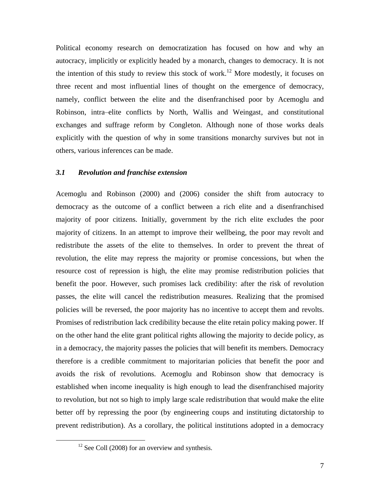Political economy research on democratization has focused on how and why an autocracy, implicitly or explicitly headed by a monarch, changes to democracy. It is not the intention of this study to review this stock of work.<sup>12</sup> More modestly, it focuses on three recent and most influential lines of thought on the emergence of democracy, namely, conflict between the elite and the disenfranchised poor by Acemoglu and Robinson, intra–elite conflicts by North, Wallis and Weingast, and constitutional exchanges and suffrage reform by Congleton. Although none of those works deals explicitly with the question of why in some transitions monarchy survives but not in others, various inferences can be made.

## *3.1 Revolution and franchise extension*

Acemoglu and Robinson (2000) and (2006) consider the shift from autocracy to democracy as the outcome of a conflict between a rich elite and a disenfranchised majority of poor citizens. Initially, government by the rich elite excludes the poor majority of citizens. In an attempt to improve their wellbeing, the poor may revolt and redistribute the assets of the elite to themselves. In order to prevent the threat of revolution, the elite may repress the majority or promise concessions, but when the resource cost of repression is high, the elite may promise redistribution policies that benefit the poor. However, such promises lack credibility: after the risk of revolution passes, the elite will cancel the redistribution measures. Realizing that the promised policies will be reversed, the poor majority has no incentive to accept them and revolts. Promises of redistribution lack credibility because the elite retain policy making power. If on the other hand the elite grant political rights allowing the majority to decide policy, as in a democracy, the majority passes the policies that will benefit its members. Democracy therefore is a credible commitment to majoritarian policies that benefit the poor and avoids the risk of revolutions. Acemoglu and Robinson show that democracy is established when income inequality is high enough to lead the disenfranchised majority to revolution, but not so high to imply large scale redistribution that would make the elite better off by repressing the poor (by engineering coups and instituting dictatorship to prevent redistribution). As a corollary, the political institutions adopted in a democracy

 $12$  See Coll (2008) for an overview and synthesis.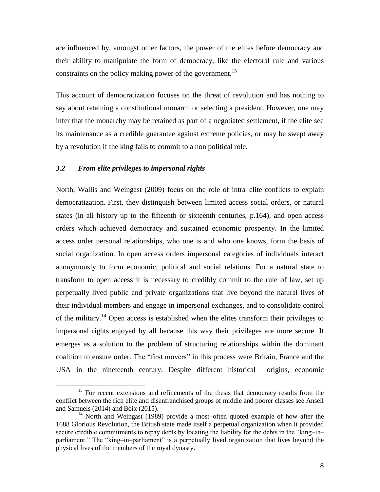are influenced by, amongst other factors, the power of the elites before democracy and their ability to manipulate the form of democracy, like the electoral rule and various constraints on the policy making power of the government.<sup>13</sup>

This account of democratization focuses on the threat of revolution and has nothing to say about retaining a constitutional monarch or selecting a president. However, one may infer that the monarchy may be retained as part of a negotiated settlement, if the elite see its maintenance as a credible guarantee against extreme policies, or may be swept away by a revolution if the king fails to commit to a non political role.

## *3.2 From elite privileges to impersonal rights*

 $\overline{a}$ 

North, Wallis and Weingast (2009) focus on the role of intra–elite conflicts to explain democratization. First, they distinguish between limited access social orders, or natural states (in all history up to the fifteenth or sixteenth centuries, p.164), and open access orders which achieved democracy and sustained economic prosperity. In the limited access order personal relationships, who one is and who one knows, form the basis of social organization. In open access orders impersonal categories of individuals interact anonymously to form economic, political and social relations. For a natural state to transform to open access it is necessary to credibly commit to the rule of law, set up perpetually lived public and private organizations that live beyond the natural lives of their individual members and engage in impersonal exchanges, and to consolidate control of the military.<sup>14</sup> Open access is established when the elites transform their privileges to impersonal rights enjoyed by all because this way their privileges are more secure. It emerges as a solution to the problem of structuring relationships within the dominant coalition to ensure order. The "first movers" in this process were Britain, France and the USA in the nineteenth century. Despite different historical origins, economic

 $13$  For recent extensions and refinements of the thesis that democracy results from the conflict between the rich elite and disenfranchised groups of middle and poorer classes see Ansell and Samuels (2014) and Boix (2015).

<sup>&</sup>lt;sup>14</sup> North and Weingast (1989) provide a most–often quoted example of how after the 1688 Glorious Revolution, the British state made itself a perpetual organization when it provided secure credible commitments to repay debts by locating the liability for the debts in the "king-inparliament." The "king–in–parliament" is a perpetually lived organization that lives beyond the physical lives of the members of the royal dynasty.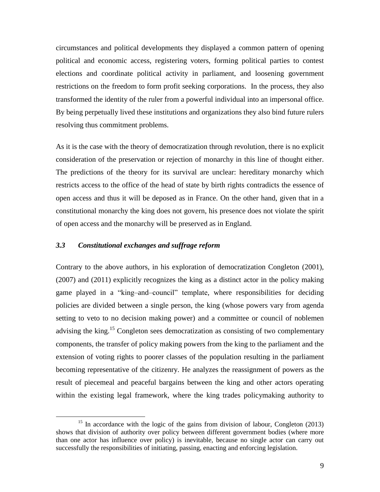circumstances and political developments they displayed a common pattern of opening political and economic access, registering voters, forming political parties to contest elections and coordinate political activity in parliament, and loosening government restrictions on the freedom to form profit seeking corporations. In the process, they also transformed the identity of the ruler from a powerful individual into an impersonal office. By being perpetually lived these institutions and organizations they also bind future rulers resolving thus commitment problems.

As it is the case with the theory of democratization through revolution, there is no explicit consideration of the preservation or rejection of monarchy in this line of thought either. The predictions of the theory for its survival are unclear: hereditary monarchy which restricts access to the office of the head of state by birth rights contradicts the essence of open access and thus it will be deposed as in France. On the other hand, given that in a constitutional monarchy the king does not govern, his presence does not violate the spirit of open access and the monarchy will be preserved as in England.

### *3.3 Constitutional exchanges and suffrage reform*

 $\overline{a}$ 

Contrary to the above authors, in his exploration of democratization Congleton (2001), (2007) and (2011) explicitly recognizes the king as a distinct actor in the policy making game played in a "king–and–council" template, where responsibilities for deciding policies are divided between a single person, the king (whose powers vary from agenda setting to veto to no decision making power) and a committee or council of noblemen advising the king.<sup>15</sup> Congleton sees democratization as consisting of two complementary components, the transfer of policy making powers from the king to the parliament and the extension of voting rights to poorer classes of the population resulting in the parliament becoming representative of the citizenry. He analyzes the reassignment of powers as the result of piecemeal and peaceful bargains between the king and other actors operating within the existing legal framework, where the king trades policymaking authority to

<sup>&</sup>lt;sup>15</sup> In accordance with the logic of the gains from division of labour, Congleton  $(2013)$ shows that division of authority over policy between different government bodies (where more than one actor has influence over policy) is inevitable, because no single actor can carry out successfully the responsibilities of initiating, passing, enacting and enforcing legislation.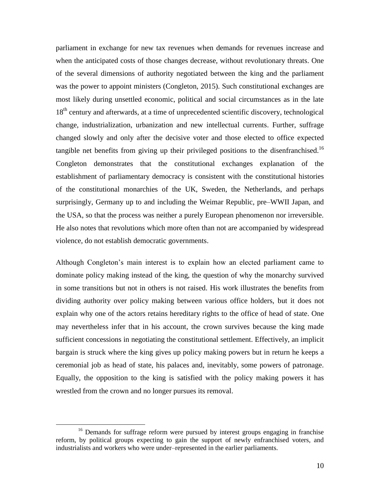parliament in exchange for new tax revenues when demands for revenues increase and when the anticipated costs of those changes decrease, without revolutionary threats. One of the several dimensions of authority negotiated between the king and the parliament was the power to appoint ministers (Congleton, 2015). Such constitutional exchanges are most likely during unsettled economic, political and social circumstances as in the late 18<sup>th</sup> century and afterwards, at a time of unprecedented scientific discovery, technological change, industrialization, urbanization and new intellectual currents. Further, suffrage changed slowly and only after the decisive voter and those elected to office expected tangible net benefits from giving up their privileged positions to the disenfranchised.<sup>16</sup> Congleton demonstrates that the constitutional exchanges explanation of the establishment of parliamentary democracy is consistent with the constitutional histories of the constitutional monarchies of the UK, Sweden, the Netherlands, and perhaps surprisingly, Germany up to and including the Weimar Republic, pre–WWII Japan, and the USA, so that the process was neither a purely European phenomenon nor irreversible. He also notes that revolutions which more often than not are accompanied by widespread violence, do not establish democratic governments.

Although Congleton's main interest is to explain how an elected parliament came to dominate policy making instead of the king, the question of why the monarchy survived in some transitions but not in others is not raised. His work illustrates the benefits from dividing authority over policy making between various office holders, but it does not explain why one of the actors retains hereditary rights to the office of head of state. One may nevertheless infer that in his account, the crown survives because the king made sufficient concessions in negotiating the constitutional settlement. Effectively, an implicit bargain is struck where the king gives up policy making powers but in return he keeps a ceremonial job as head of state, his palaces and, inevitably, some powers of patronage. Equally, the opposition to the king is satisfied with the policy making powers it has wrestled from the crown and no longer pursues its removal.

<sup>&</sup>lt;sup>16</sup> Demands for suffrage reform were pursued by interest groups engaging in franchise reform, by political groups expecting to gain the support of newly enfranchised voters, and industrialists and workers who were under–represented in the earlier parliaments.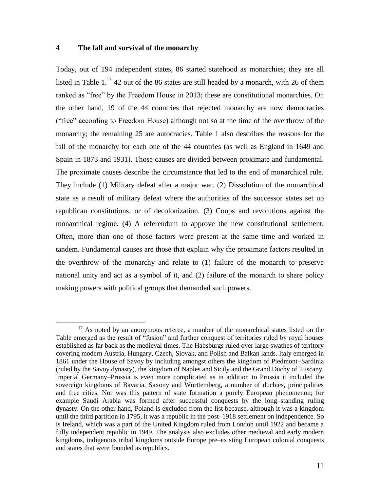## **4 The fall and survival of the monarchy**

 $\overline{a}$ 

Today, out of 194 independent states, 86 started statehood as monarchies; they are all listed in Table  $1<sup>17</sup>$  42 out of the 86 states are still headed by a monarch, with 26 of them ranked as "free" by the Freedom House in 2013; these are constitutional monarchies. On the other hand, 19 of the 44 countries that rejected monarchy are now democracies ("free" according to Freedom House) although not so at the time of the overthrow of the monarchy; the remaining 25 are autocracies. Table 1 also describes the reasons for the fall of the monarchy for each one of the 44 countries (as well as England in 1649 and Spain in 1873 and 1931). Those causes are divided between proximate and fundamental. The proximate causes describe the circumstance that led to the end of monarchical rule. They include (1) Military defeat after a major war. (2) Dissolution of the monarchical state as a result of military defeat where the authorities of the successor states set up republican constitutions, or of decolonization. (3) Coups and revolutions against the monarchical regime. (4) A referendum to approve the new constitutional settlement. Often, more than one of those factors were present at the same time and worked in tandem. Fundamental causes are those that explain why the proximate factors resulted in the overthrow of the monarchy and relate to (1) failure of the monarch to preserve national unity and act as a symbol of it, and (2) failure of the monarch to share policy making powers with political groups that demanded such powers.

 $17$  As noted by an anonymous referee, a number of the monarchical states listed on the Table emerged as the result of "fusion" and further conquest of territories ruled by royal houses established as far back as the medieval times. The Habsburgs ruled over large swathes of territory covering modern Austria, Hungary, Czech, Slovak, and Polish and Balkan lands. Italy emerged in 1861 under the House of Savoy by including amongst others the kingdom of Piedmont–Sardinia (ruled by the Savoy dynasty), the kingdom of Naples and Sicily and the Grand Duchy of Tuscany. Imperial Germany–Prussia is even more complicated as in addition to Prussia it included the sovereign kingdoms of Bavaria, Saxony and Wurttemberg, a number of duchies, principalities and free cities. Nor was this pattern of state formation a purely European phenomenon; for example Saudi Arabia was formed after successful conquests by the long–standing ruling dynasty. On the other hand, Poland is excluded from the list because, although it was a kingdom until the third partition in 1795, it was a republic in the post–1918 settlement on independence. So is Ireland, which was a part of the United Kingdom ruled from London until 1922 and became a fully independent republic in 1949. The analysis also excludes other medieval and early modern kingdoms, indigenous tribal kingdoms outside Europe pre–existing European colonial conquests and states that were founded as republics.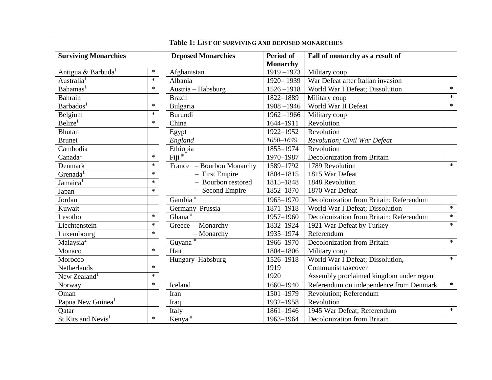| Table 1: LIST OF SURVIVING AND DEPOSED MONARCHIES |        |                             |                  |                                          |        |  |  |  |
|---------------------------------------------------|--------|-----------------------------|------------------|------------------------------------------|--------|--|--|--|
| <b>Surviving Monarchies</b>                       |        | <b>Deposed Monarchies</b>   | <b>Period of</b> | Fall of monarchy as a result of          |        |  |  |  |
|                                                   |        |                             | <b>Monarchy</b>  |                                          |        |  |  |  |
| Antigua & Barbuda <sup>1</sup>                    | $\ast$ | Afghanistan                 | 1919-1973        | Military coup                            |        |  |  |  |
| Australia <sup>1</sup>                            | $\ast$ | Albania                     | 1920-1939        | War Defeat after Italian invasion        |        |  |  |  |
| Bahamas <sup>1</sup>                              | $\ast$ | Austria - Habsburg          | $1526 - 1918$    | World War I Defeat; Dissolution          | $\ast$ |  |  |  |
| <b>Bahrain</b>                                    |        | <b>Brazil</b>               | 1822-1889        | Military coup                            | $\ast$ |  |  |  |
| Barbados <sup>1</sup>                             | $\ast$ | Bulgaria                    | $1908 - 1946$    | World War II Defeat                      | $\ast$ |  |  |  |
| Belgium                                           | $\ast$ | <b>Burundi</b>              | $1962 - 1966$    | Military coup                            |        |  |  |  |
| Belize <sup>1</sup>                               | $\ast$ | China                       | 1644-1911        | Revolution                               |        |  |  |  |
| Bhutan                                            |        | Egypt                       | 1922-1952        | Revolution                               |        |  |  |  |
| <b>Brunei</b>                                     |        | England                     | 1050-1649        | Revolution; Civil War Defeat             |        |  |  |  |
| Cambodia                                          |        | Ethiopia                    | 1855-1974        | Revolution                               |        |  |  |  |
| Canada <sup>1</sup>                               | $\ast$ | Fiji $^{\#}$                | 1970-1987        | Decolonization from Britain              |        |  |  |  |
| Denmark                                           | $\ast$ | France – Bourbon Monarchy   | 1589-1792        | 1789 Revolution                          | $\ast$ |  |  |  |
| Grenada <sup>1</sup>                              | $\ast$ | - First Empire              | 1804-1815        | 1815 War Defeat                          |        |  |  |  |
| Jamaica <sup>1</sup>                              | $\ast$ | - Bourbon restored          | 1815-1848        | 1848 Revolution                          |        |  |  |  |
| Japan                                             | $*$    | - Second Empire             | 1852-1870        | 1870 War Defeat                          |        |  |  |  |
| Jordan                                            |        | Gambia <sup>#</sup>         | 1965-1970        | Decolonization from Britain; Referendum  |        |  |  |  |
| Kuwait                                            |        | Germany-Prussia             | 1871-1918        | World War I Defeat: Dissolution          | $\ast$ |  |  |  |
| Lesotho                                           | $\ast$ | Ghana $*$                   | 1957-1960        | Decolonization from Britain; Referendum  | $\ast$ |  |  |  |
| Liechtenstein                                     | $\ast$ | Greece - Monarchy           | 1832-1924        | 1921 War Defeat by Turkey                | $\ast$ |  |  |  |
| Luxembourg                                        | $*$    | - Monarchy                  | 1935-1974        | Referendum                               |        |  |  |  |
| Malaysia <sup>2</sup>                             |        | Guyana <sup>#</sup>         | 1966-1970        | <b>Decolonization from Britain</b>       | $\ast$ |  |  |  |
| Monaco                                            | $\ast$ | Haiti                       | 1804-1806        | Military coup                            |        |  |  |  |
| Morocco                                           |        | Hungary-Habsburg            | 1526-1918        | World War I Defeat; Dissolution,         | $\ast$ |  |  |  |
| Netherlands                                       | $\ast$ |                             | 1919             | Communist takeover                       |        |  |  |  |
| New Zealand <sup>1</sup>                          | $\ast$ |                             | 1920             | Assembly proclaimed kingdom under regent |        |  |  |  |
| Norway                                            | $\ast$ | Iceland                     | 1660-1940        | Referendum on independence from Denmark  | $\ast$ |  |  |  |
| Oman                                              |        | Iran                        | 1501-1979        | Revolution; Referendum                   |        |  |  |  |
| Papua New Guinea <sup>1</sup>                     |        | Iraq                        | 1932-1958        | Revolution                               |        |  |  |  |
| Qatar                                             |        | Italy                       | 1861-1946        | 1945 War Defeat; Referendum              | $\ast$ |  |  |  |
| St Kits and Nevis <sup>1</sup>                    | $\ast$ | $\overline{\text{Kenya}^*}$ | 1963-1964        | Decolonization from Britain              |        |  |  |  |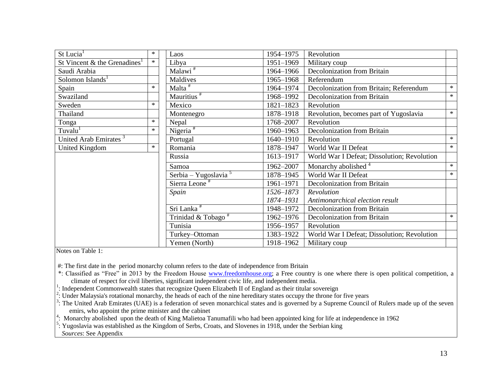| St Lucia <sup>1</sup>                    | $\ast$ | Laos                             | 1954-1975 | Revolution                                  |        |
|------------------------------------------|--------|----------------------------------|-----------|---------------------------------------------|--------|
| St Vincent & the Grenadines <sup>1</sup> | $*$    | Libya                            | 1951-1969 | Military coup                               |        |
| Saudi Arabia                             |        | Malawi <sup>#</sup>              | 1964-1966 | Decolonization from Britain                 |        |
| Solomon Islands <sup>1</sup>             |        | Maldives                         | 1965-1968 | Referendum                                  |        |
| Spain                                    | $\ast$ | Malta $\overline{f}$             | 1964-1974 | Decolonization from Britain; Referendum     | $\ast$ |
| Swaziland                                |        | Mauritius <sup>#</sup>           | 1968-1992 | Decolonization from Britain                 | $\ast$ |
| Sweden                                   | $\ast$ | Mexico                           | 1821-1823 | Revolution                                  |        |
| Thailand                                 |        | Montenegro                       | 1878-1918 | Revolution, becomes part of Yugoslavia      | $\ast$ |
| Tonga                                    | $\ast$ | Nepal                            | 1768-2007 | Revolution                                  |        |
| Tuvalu <sup>1</sup>                      | $\ast$ | Nigeria $#$                      | 1960-1963 | Decolonization from Britain                 |        |
| United Arab Emirates <sup>3</sup>        |        | Portugal                         | 1640-1910 | Revolution                                  | $\ast$ |
| United Kingdom                           | $\ast$ | Romania                          | 1878-1947 | World War II Defeat                         | $\ast$ |
|                                          |        | Russia                           | 1613-1917 | World War I Defeat; Dissolution; Revolution |        |
|                                          |        | Samoa                            | 1962-2007 | Monarchy abolished 4                        | $\ast$ |
|                                          |        | Serbia - Yugoslavia <sup>5</sup> | 1878-1945 | World War II Defeat                         | $\ast$ |
|                                          |        | Sierra Leone <sup>#</sup>        | 1961-1971 | Decolonization from Britain                 |        |
|                                          |        | Spain                            | 1526-1873 | Revolution                                  |        |
|                                          |        |                                  | 1874-1931 | Antimonarchical election result             |        |
|                                          |        | Sri Lanka <sup>#</sup>           | 1948-1972 | Decolonization from Britain                 |        |
|                                          |        | Trinidad & Tobago <sup>#</sup>   | 1962-1976 | Decolonization from Britain                 | $\ast$ |
|                                          |        | Tunisia                          | 1956-1957 | Revolution                                  |        |
|                                          |        | Turkey-Ottoman                   | 1383-1922 | World War I Defeat; Dissolution; Revolution |        |
|                                          |        | Yemen (North)                    | 1918-1962 | Military coup                               |        |

Notes on Table 1:

#: The first date in the period monarchy column refers to the date of independence from Britain

\*: Classified as "Free" in 2013 by the Freedom House [www.freedomhouse.org;](http://www.freedomhouse.org/) a Free country is one where there is open political competition, a climate of respect for civil liberties, significant independent civic life, and independent media.

<sup>1</sup>: Independent Commonwealth states that recognize Queen Elizabeth II of England as their titular sovereign

<sup>2</sup>: Under Malaysia's rotational monarchy, the heads of each of the nine hereditary states occupy the throne for five years

 $3$ : The United Arab Emirates (UAE) is a federation of seven monarchical states and is governed by a Supreme Council of Rulers made up of the seven emirs, who appoint the prime minister and the cabinet

<sup>4</sup>: Monarchy abolished upon the death of King Malietoa Tanumafili who had been appointed king for life at independence in 1962

<sup>5</sup>: Yugoslavia was established as the Kingdom of Serbs, Croats, and Slovenes in 1918, under the Serbian king

*Sources*: See Appendix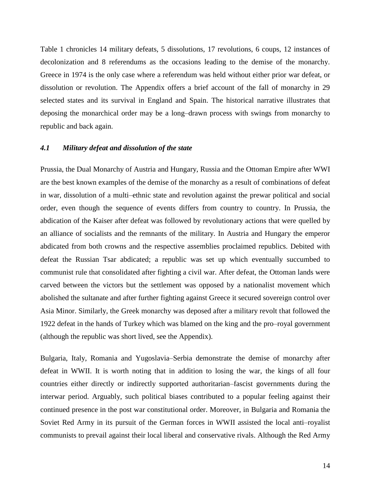Table 1 chronicles 14 military defeats, 5 dissolutions, 17 revolutions, 6 coups, 12 instances of decolonization and 8 referendums as the occasions leading to the demise of the monarchy. Greece in 1974 is the only case where a referendum was held without either prior war defeat, or dissolution or revolution. The Appendix offers a brief account of the fall of monarchy in 29 selected states and its survival in England and Spain. The historical narrative illustrates that deposing the monarchical order may be a long–drawn process with swings from monarchy to republic and back again.

## *4.1 Military defeat and dissolution of the state*

Prussia, the Dual Monarchy of Austria and Hungary, Russia and the Ottoman Empire after WWI are the best known examples of the demise of the monarchy as a result of combinations of defeat in war, dissolution of a multi–ethnic state and revolution against the prewar political and social order, even though the sequence of events differs from country to country. In Prussia, the abdication of the Kaiser after defeat was followed by revolutionary actions that were quelled by an alliance of socialists and the remnants of the military. In Austria and Hungary the emperor abdicated from both crowns and the respective assemblies proclaimed republics. Debited with defeat the Russian Tsar abdicated; a republic was set up which eventually succumbed to communist rule that consolidated after fighting a civil war. After defeat, the Ottoman lands were carved between the victors but the settlement was opposed by a nationalist movement which abolished the sultanate and after further fighting against Greece it secured sovereign control over Asia Minor. Similarly, the Greek monarchy was deposed after a military revolt that followed the 1922 defeat in the hands of Turkey which was blamed on the king and the pro–royal government (although the republic was short lived, see the Appendix).

Bulgaria, Italy, Romania and Yugoslavia–Serbia demonstrate the demise of monarchy after defeat in WWII. It is worth noting that in addition to losing the war, the kings of all four countries either directly or indirectly supported authoritarian–fascist governments during the interwar period. Arguably, such political biases contributed to a popular feeling against their continued presence in the post war constitutional order. Moreover, in Bulgaria and Romania the Soviet Red Army in its pursuit of the German forces in WWII assisted the local anti–royalist communists to prevail against their local liberal and conservative rivals. Although the Red Army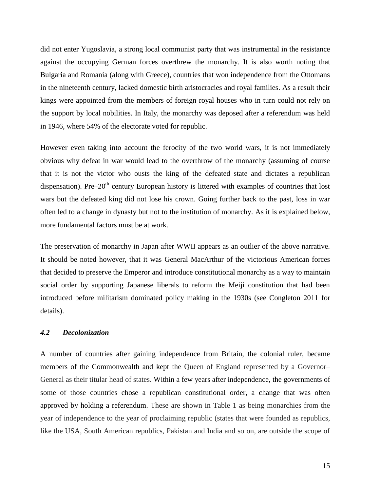did not enter Yugoslavia, a strong local communist party that was instrumental in the resistance against the occupying German forces overthrew the monarchy. It is also worth noting that Bulgaria and Romania (along with Greece), countries that won independence from the Ottomans in the nineteenth century, lacked domestic birth aristocracies and royal families. As a result their kings were appointed from the members of foreign royal houses who in turn could not rely on the support by local nobilities. In Italy, the monarchy was deposed after a referendum was held in 1946, where 54% of the electorate voted for republic.

However even taking into account the ferocity of the two world wars, it is not immediately obvious why defeat in war would lead to the overthrow of the monarchy (assuming of course that it is not the victor who ousts the king of the defeated state and dictates a republican dispensation). Pre– $20<sup>th</sup>$  century European history is littered with examples of countries that lost wars but the defeated king did not lose his crown. Going further back to the past, loss in war often led to a change in dynasty but not to the institution of monarchy. As it is explained below, more fundamental factors must be at work.

The preservation of monarchy in Japan after WWII appears as an outlier of the above narrative. It should be noted however, that it was General MacArthur of the victorious American forces that decided to preserve the Emperor and introduce constitutional monarchy as a way to maintain social order by supporting Japanese liberals to reform the Meiji constitution that had been introduced before militarism dominated policy making in the 1930s (see Congleton 2011 for details).

## *4.2 Decolonization*

A number of countries after gaining independence from Britain, the colonial ruler, became members of the Commonwealth and kept the Queen of England represented by a Governor– General as their titular head of states. Within a few years after independence, the governments of some of those countries chose a republican constitutional order, a change that was often approved by holding a referendum. These are shown in Table 1 as being monarchies from the year of independence to the year of proclaiming republic (states that were founded as republics, like the USA, South American republics, Pakistan and India and so on, are outside the scope of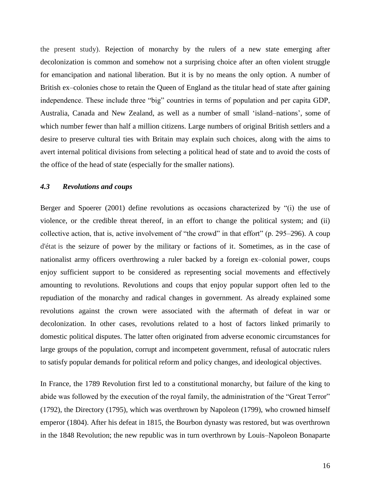the present study). Rejection of monarchy by the rulers of a new state emerging after decolonization is common and somehow not a surprising choice after an often violent struggle for emancipation and national liberation. But it is by no means the only option. A number of British ex–colonies chose to retain the Queen of England as the titular head of state after gaining independence. These include three "big" countries in terms of population and per capita GDP, Australia, Canada and New Zealand, as well as a number of small 'island–nations', some of which number fewer than half a million citizens. Large numbers of original British settlers and a desire to preserve cultural ties with Britain may explain such choices, along with the aims to avert internal political divisions from selecting a political head of state and to avoid the costs of the office of the head of state (especially for the smaller nations).

## *4.3 Revolutions and coups*

Berger and Spoerer (2001) define revolutions as occasions characterized by "(i) the use of violence, or the credible threat thereof, in an effort to change the political system; and (ii) collective action, that is, active involvement of "the crowd" in that effort" (p. 295–296). A coup d'état is the seizure of power by the military or factions of it. Sometimes, as in the case of nationalist army officers overthrowing a ruler backed by a foreign ex–colonial power, coups enjoy sufficient support to be considered as representing social movements and effectively amounting to revolutions. Revolutions and coups that enjoy popular support often led to the repudiation of the monarchy and radical changes in government. As already explained some revolutions against the crown were associated with the aftermath of defeat in war or decolonization. In other cases, revolutions related to a host of factors linked primarily to domestic political disputes. The latter often originated from adverse economic circumstances for large groups of the population, corrupt and incompetent government, refusal of autocratic rulers to satisfy popular demands for political reform and policy changes, and ideological objectives.

In France, the 1789 Revolution first led to a constitutional monarchy, but failure of the king to abide was followed by the execution of the royal family, the administration of the "Great Terror" (1792), the Directory (1795), which was overthrown by Napoleon (1799), who crowned himself emperor (1804). After his defeat in 1815, the Bourbon dynasty was restored, but was overthrown in the 1848 Revolution; the new republic was in turn overthrown by Louis–Napoleon Bonaparte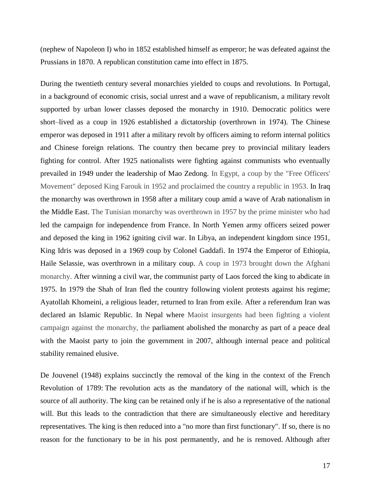(nephew of Napoleon I) who in 1852 established himself as emperor; he was defeated against the Prussians in 1870. A republican constitution came into effect in 1875.

During the twentieth century several monarchies yielded to coups and revolutions. In Portugal, in a background of economic crisis, social unrest and a wave of republicanism, a military revolt supported by urban lower classes deposed the monarchy in 1910. Democratic politics were short–lived as a coup in 1926 established a dictatorship (overthrown in 1974). The Chinese emperor was deposed in 1911 after a military revolt by officers aiming to reform internal politics and Chinese foreign relations. The country then became prey to provincial military leaders fighting for control. After 1925 nationalists were fighting against communists who eventually prevailed in 1949 under the leadership of Mao Zedong. In Egypt, a coup by the "Free Officers' Movement" deposed King Farouk in 1952 and proclaimed the country a republic in 1953. In Iraq the monarchy was overthrown in 1958 after a military coup amid a wave of Arab nationalism in the Middle East. The Tunisian monarchy was overthrown in 1957 by the prime minister who had led the campaign for independence from France. In North Yemen army officers seized power and deposed the king in 1962 igniting civil war. In Libya, an independent kingdom since 1951, King Idris was deposed in a 1969 coup by Colonel Gaddafi. In 1974 the Emperor of Ethiopia, Haile Selassie, was overthrown in a military coup. A coup in 1973 brought down the Afghani monarchy. After winning a civil war, the communist party of Laos forced the king to abdicate in 1975. In 1979 the Shah of Iran fled the country following violent protests against his regime; Ayatollah Khomeini, a religious leader, returned to Iran from exile. After a referendum Iran was declared an Islamic Republic. In Nepal where Maoist insurgents had been fighting a violent campaign against the monarchy, the parliament abolished the monarchy as part of a peace deal with the Maoist party to join the government in 2007, although internal peace and political stability remained elusive.

De Jouvenel (1948) explains succinctly the removal of the king in the context of the French Revolution of 1789: The revolution acts as the mandatory of the national will, which is the source of all authority. The king can be retained only if he is also a representative of the national will. But this leads to the contradiction that there are simultaneously elective and hereditary representatives. The king is then reduced into a "no more than first functionary". If so, there is no reason for the functionary to be in his post permanently, and he is removed. Although after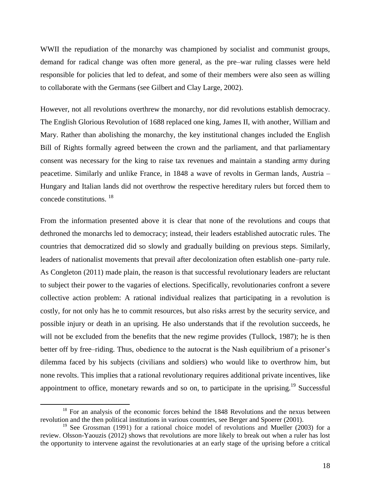WWII the repudiation of the monarchy was championed by socialist and communist groups, demand for radical change was often more general, as the pre–war ruling classes were held responsible for policies that led to defeat, and some of their members were also seen as willing to collaborate with the Germans (see Gilbert and Clay Large, 2002).

However, not all revolutions overthrew the monarchy, nor did revolutions establish democracy. The English Glorious Revolution of 1688 replaced one king, James II, with another, William and Mary. Rather than abolishing the monarchy, the key institutional changes included the English Bill of Rights formally agreed between the crown and the parliament, and that parliamentary consent was necessary for the king to raise tax revenues and maintain a standing army during peacetime. Similarly and unlike France, in 1848 a wave of revolts in German lands, Austria – Hungary and Italian lands did not overthrow the respective hereditary rulers but forced them to concede constitutions. <sup>18</sup>

From the information presented above it is clear that none of the revolutions and coups that dethroned the monarchs led to democracy; instead, their leaders established autocratic rules. The countries that democratized did so slowly and gradually building on previous steps. Similarly, leaders of nationalist movements that prevail after decolonization often establish one–party rule. As Congleton (2011) made plain, the reason is that successful revolutionary leaders are reluctant to subject their power to the vagaries of elections. Specifically, revolutionaries confront a severe collective action problem: A rational individual realizes that participating in a revolution is costly, for not only has he to commit resources, but also risks arrest by the security service, and possible injury or death in an uprising. He also understands that if the revolution succeeds, he will not be excluded from the benefits that the new regime provides (Tullock, 1987); he is then better off by free–riding. Thus, obedience to the autocrat is the Nash equilibrium of a prisoner's dilemma faced by his subjects (civilians and soldiers) who would like to overthrow him, but none revolts. This implies that a rational revolutionary requires additional private incentives, like appointment to office, monetary rewards and so on, to participate in the uprising.<sup>19</sup> Successful

 $18$  For an analysis of the economic forces behind the 1848 Revolutions and the nexus between revolution and the then political institutions in various countries, see Berger and Spoerer (2001).

 $19$  See Grossman (1991) for a rational choice model of revolutions and Mueller (2003) for a review. Olsson-Yaouzis (2012) shows that revolutions are more likely to break out when a ruler has lost the opportunity to intervene against the revolutionaries at an early stage of the uprising before a critical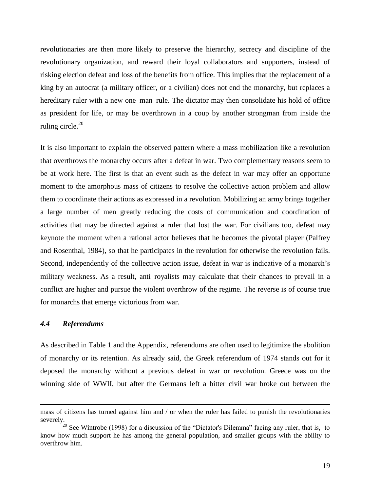revolutionaries are then more likely to preserve the hierarchy, secrecy and discipline of the revolutionary organization, and reward their loyal collaborators and supporters, instead of risking election defeat and loss of the benefits from office. This implies that the replacement of a king by an autocrat (a military officer, or a civilian) does not end the monarchy, but replaces a hereditary ruler with a new one–man–rule. The dictator may then consolidate his hold of office as president for life, or may be overthrown in a coup by another strongman from inside the ruling circle. 20

It is also important to explain the observed pattern where a mass mobilization like a revolution that overthrows the monarchy occurs after a defeat in war. Two complementary reasons seem to be at work here. The first is that an event such as the defeat in war may offer an opportune moment to the amorphous mass of citizens to resolve the collective action problem and allow them to coordinate their actions as expressed in a revolution. Mobilizing an army brings together a large number of men greatly reducing the costs of communication and coordination of activities that may be directed against a ruler that lost the war. For civilians too, defeat may keynote the moment when a rational actor believes that he becomes the pivotal player (Palfrey and Rosenthal, 1984), so that he participates in the revolution for otherwise the revolution fails. Second, independently of the collective action issue, defeat in war is indicative of a monarch's military weakness. As a result, anti–royalists may calculate that their chances to prevail in a conflict are higher and pursue the violent overthrow of the regime. The reverse is of course true for monarchs that emerge victorious from war.

#### *4.4 Referendums*

 $\overline{a}$ 

As described in Table 1 and the Appendix, referendums are often used to legitimize the abolition of monarchy or its retention. As already said, the Greek referendum of 1974 stands out for it deposed the monarchy without a previous defeat in war or revolution. Greece was on the winning side of WWII, but after the Germans left a bitter civil war broke out between the

mass of citizens has turned against him and / or when the ruler has failed to punish the revolutionaries severely.

<sup>&</sup>lt;sup>20</sup> See Wintrobe (1998) for a discussion of the "Dictator's Dilemma" facing any ruler, that is, to know how much support he has among the general population, and smaller groups with the ability to overthrow him.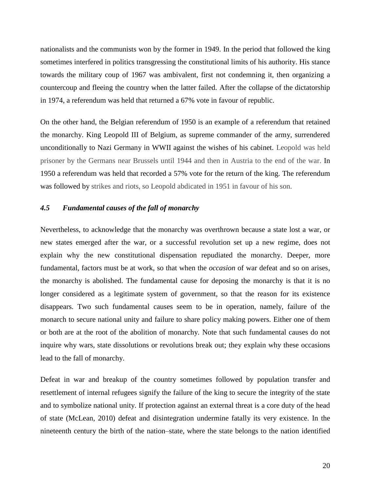nationalists and the communists won by the former in 1949. In the period that followed the king sometimes interfered in politics transgressing the constitutional limits of his authority. His stance towards the military coup of 1967 was ambivalent, first not condemning it, then organizing a countercoup and fleeing the country when the latter failed. After the collapse of the dictatorship in 1974, a referendum was held that returned a 67% vote in favour of republic.

On the other hand, the Belgian referendum of 1950 is an example of a referendum that retained the monarchy. King Leopold III of Belgium, as supreme commander of the army, surrendered unconditionally to Nazi Germany in WWII against the wishes of his cabinet. Leopold was held prisoner by the Germans near Brussels until 1944 and then in Austria to the end of the war. In 1950 a referendum was held that recorded a 57% vote for the return of the king. The referendum was followed by strikes and riots, so Leopold abdicated in 1951 in favour of his son.

## *4.5 Fundamental causes of the fall of monarchy*

Nevertheless, to acknowledge that the monarchy was overthrown because a state lost a war, or new states emerged after the war, or a successful revolution set up a new regime, does not explain why the new constitutional dispensation repudiated the monarchy. Deeper, more fundamental, factors must be at work, so that when the *occasion* of war defeat and so on arises, the monarchy is abolished. The fundamental cause for deposing the monarchy is that it is no longer considered as a legitimate system of government, so that the reason for its existence disappears. Two such fundamental causes seem to be in operation, namely, failure of the monarch to secure national unity and failure to share policy making powers. Either one of them or both are at the root of the abolition of monarchy. Note that such fundamental causes do not inquire why wars, state dissolutions or revolutions break out; they explain why these occasions lead to the fall of monarchy.

Defeat in war and breakup of the country sometimes followed by population transfer and resettlement of internal refugees signify the failure of the king to secure the integrity of the state and to symbolize national unity. If protection against an external threat is a core duty of the head of state (McLean, 2010) defeat and disintegration undermine fatally its very existence. In the nineteenth century the birth of the nation–state, where the state belongs to the nation identified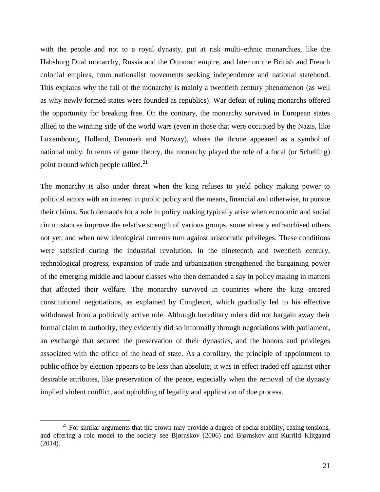with the people and not to a royal dynasty, put at risk multi–ethnic monarchies, like the Habsburg Dual monarchy, Russia and the Ottoman empire, and later on the British and French colonial empires, from nationalist movements seeking independence and national statehood. This explains why the fall of the monarchy is mainly a twentieth century phenomenon (as well as why newly formed states were founded as republics). War defeat of ruling monarchs offered the opportunity for breaking free. On the contrary, the monarchy survived in European states allied to the winning side of the world wars (even in those that were occupied by the Nazis, like Luxembourg, Holland, Denmark and Norway), where the throne appeared as a symbol of national unity. In terms of game theory, the monarchy played the role of a focal (or Schelling) point around which people rallied. $^{21}$ 

The monarchy is also under threat when the king refuses to yield policy making power to political actors with an interest in public policy and the means, financial and otherwise, to pursue their claims. Such demands for a role in policy making typically arise when economic and social circumstances improve the relative strength of various groups, some already enfranchised others not yet, and when new ideological currents turn against aristocratic privileges. These conditions were satisfied during the industrial revolution. In the nineteenth and twentieth century, technological progress, expansion of trade and urbanization strengthened the bargaining power of the emerging middle and labour classes who then demanded a say in policy making in matters that affected their welfare. The monarchy survived in countries where the king entered constitutional negotiations, as explained by Congleton, which gradually led to his effective withdrawal from a politically active role. Although hereditary rulers did not bargain away their formal claim to authority, they evidently did so informally through negotiations with parliament, an exchange that secured the preservation of their dynasties, and the honors and privileges associated with the office of the head of state. As a corollary, the principle of appointment to public office by election appears to be less than absolute; it was in effect traded off against other desirable attributes, like preservation of the peace, especially when the removal of the dynasty implied violent conflict, and upholding of legality and application of due process.

 $21$  For similar arguments that the crown may provide a degree of social stability, easing tensions, and offering a role model to the society see Bjørnskov (2006) and Bjørnskov and Kurrild–Klitgaard (2014).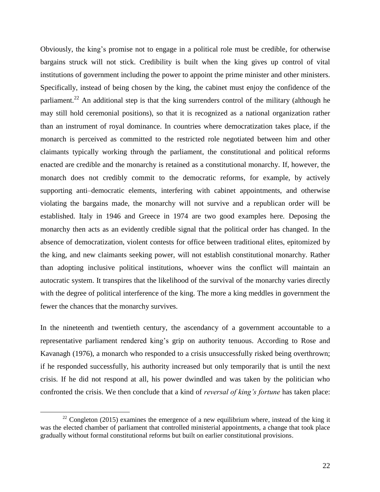Obviously, the king's promise not to engage in a political role must be credible, for otherwise bargains struck will not stick. Credibility is built when the king gives up control of vital institutions of government including the power to appoint the prime minister and other ministers. Specifically, instead of being chosen by the king, the cabinet must enjoy the confidence of the parliament.<sup>22</sup> An additional step is that the king surrenders control of the military (although he may still hold ceremonial positions), so that it is recognized as a national organization rather than an instrument of royal dominance. In countries where democratization takes place, if the monarch is perceived as committed to the restricted role negotiated between him and other claimants typically working through the parliament, the constitutional and political reforms enacted are credible and the monarchy is retained as a constitutional monarchy. If, however, the monarch does not credibly commit to the democratic reforms, for example, by actively supporting anti–democratic elements, interfering with cabinet appointments, and otherwise violating the bargains made, the monarchy will not survive and a republican order will be established. Italy in 1946 and Greece in 1974 are two good examples here. Deposing the monarchy then acts as an evidently credible signal that the political order has changed. In the absence of democratization, violent contests for office between traditional elites, epitomized by the king, and new claimants seeking power, will not establish constitutional monarchy. Rather than adopting inclusive political institutions, whoever wins the conflict will maintain an autocratic system. It transpires that the likelihood of the survival of the monarchy varies directly with the degree of political interference of the king. The more a king meddles in government the fewer the chances that the monarchy survives.

In the nineteenth and twentieth century, the ascendancy of a government accountable to a representative parliament rendered king's grip on authority tenuous. According to Rose and Kavanagh (1976), a monarch who responded to a crisis unsuccessfully risked being overthrown; if he responded successfully, his authority increased but only temporarily that is until the next crisis. If he did not respond at all, his power dwindled and was taken by the politician who confronted the crisis. We then conclude that a kind of *reversal of king's fortune* has taken place:

 $22$  Congleton (2015) examines the emergence of a new equilibrium where, instead of the king it was the elected chamber of parliament that controlled ministerial appointments, a change that took place gradually without formal constitutional reforms but built on earlier constitutional provisions.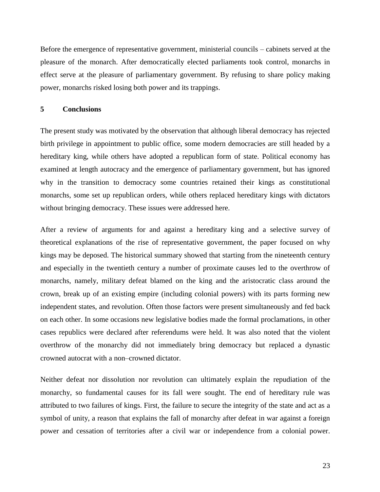Before the emergence of representative government, ministerial councils – cabinets served at the pleasure of the monarch. After democratically elected parliaments took control, monarchs in effect serve at the pleasure of parliamentary government. By refusing to share policy making power, monarchs risked losing both power and its trappings.

## **5 Conclusions**

The present study was motivated by the observation that although liberal democracy has rejected birth privilege in appointment to public office, some modern democracies are still headed by a hereditary king, while others have adopted a republican form of state. Political economy has examined at length autocracy and the emergence of parliamentary government, but has ignored why in the transition to democracy some countries retained their kings as constitutional monarchs, some set up republican orders, while others replaced hereditary kings with dictators without bringing democracy. These issues were addressed here.

After a review of arguments for and against a hereditary king and a selective survey of theoretical explanations of the rise of representative government, the paper focused on why kings may be deposed. The historical summary showed that starting from the nineteenth century and especially in the twentieth century a number of proximate causes led to the overthrow of monarchs, namely, military defeat blamed on the king and the aristocratic class around the crown, break up of an existing empire (including colonial powers) with its parts forming new independent states, and revolution. Often those factors were present simultaneously and fed back on each other. In some occasions new legislative bodies made the formal proclamations, in other cases republics were declared after referendums were held. It was also noted that the violent overthrow of the monarchy did not immediately bring democracy but replaced a dynastic crowned autocrat with a non–crowned dictator.

Neither defeat nor dissolution nor revolution can ultimately explain the repudiation of the monarchy, so fundamental causes for its fall were sought. The end of hereditary rule was attributed to two failures of kings. First, the failure to secure the integrity of the state and act as a symbol of unity, a reason that explains the fall of monarchy after defeat in war against a foreign power and cessation of territories after a civil war or independence from a colonial power.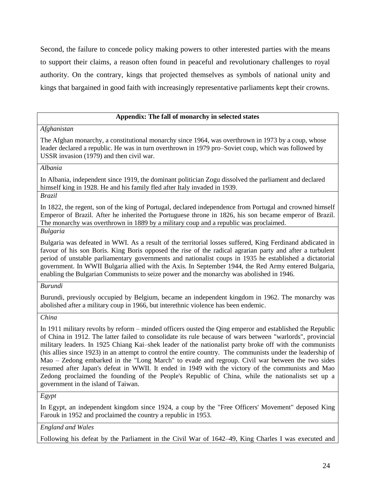Second, the failure to concede policy making powers to other interested parties with the means to support their claims, a reason often found in peaceful and revolutionary challenges to royal authority. On the contrary, kings that projected themselves as symbols of national unity and kings that bargained in good faith with increasingly representative parliaments kept their crowns.

## **Appendix: The fall of monarchy in selected states**

### *Afghanistan*

The Afghan monarchy, a constitutional monarchy since 1964, was overthrown in 1973 by a coup, whose leader declared a republic. He was in turn overthrown in 1979 pro–Soviet coup, which was followed by USSR invasion (1979) and then civil war.

### *Albania*

In Albania, independent since 1919, the dominant politician Zogu dissolved the parliament and declared himself king in 1928. He and his family fled after Italy invaded in 1939.

*Brazil*

In 1822, the regent, son of the king of Portugal, declared independence from Portugal and crowned himself Emperor of Brazil. After he inherited the Portuguese throne in 1826, his son became emperor of Brazil. The monarchy was overthrown in 1889 by a military coup and a republic was proclaimed.

### *Bulgaria*

Bulgaria was defeated in WWI. As a result of the territorial losses suffered, King Ferdinand abdicated in favour of his son Boris. King Boris opposed the rise of the radical agrarian party and after a turbulent period of unstable parliamentary governments and nationalist coups in 1935 he established a dictatorial government. In WWII Bulgaria allied with the Axis. In September 1944, the Red Army entered Bulgaria, enabling the Bulgarian Communists to seize power and the monarchy was abolished in 1946.

#### *Burundi*

Burundi, previously occupied by Belgium, became an independent kingdom in 1962. The monarchy was abolished after a military coup in 1966, but interethnic violence has been endemic.

## *China*

In 1911 military revolts by reform – minded officers ousted the Qing emperor and established the Republic of China in 1912. The latter failed to consolidate its rule because of wars between "warlords", provincial military leaders. In 1925 Chiang Kai–shek leader of the nationalist party broke off with the communists (his allies since 1923) in an attempt to control the entire country. The communists under the leadership of Mao – Zedong embarked in the "Long March" to evade and regroup. Civil war between the two sides resumed after Japan's defeat in WWII. It ended in 1949 with the victory of the communists and Mao Zedong proclaimed the founding of the People's Republic of China, while the nationalists set up a government in the island of Taiwan.

### *Egypt*

In Egypt, an independent kingdom since 1924, a coup by the "Free Officers' Movement" deposed King Farouk in 1952 and proclaimed the country a republic in 1953.

### *England and Wales*

Following his defeat by the Parliament in the Civil War of 1642–49, King Charles I was executed and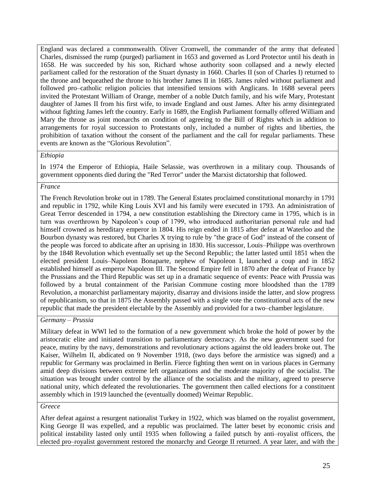England was declared a commonwealth. Oliver Cromwell, the commander of the army that defeated Charles, dismissed the rump (purged) parliament in 1653 and governed as Lord Protector until his death in 1658. He was succeeded by his son, Richard whose authority soon collapsed and a newly elected parliament called for the restoration of the Stuart dynasty in 1660. Charles II (son of Charles I) returned to the throne and bequeathed the throne to his brother James II in 1685. James ruled without parliament and followed pro–catholic religion policies that intensified tensions with Anglicans. In 1688 several peers invited the Protestant William of Orange, member of a noble Dutch family, and his wife Mary, Protestant daughter of James II from his first wife, to invade England and oust James. After his army disintegrated without fighting James left the country. Early in 1689, the English Parliament formally offered William and Mary the throne as joint monarchs on condition of agreeing to the Bill of Rights which in addition to arrangements for royal succession to Protestants only, included a number of rights and liberties, the prohibition of taxation without the consent of the parliament and the call for regular parliaments. These events are known as the "Glorious Revolution".

#### *Ethiopia*

In 1974 the Emperor of Ethiopia, Haile Selassie, was overthrown in a military coup. Thousands of government opponents died during the "Red Terror" under the Marxist dictatorship that followed.

#### *France*

The French Revolution broke out in 1789. The General Estates proclaimed constitutional monarchy in 1791 and republic in 1792, while King Louis XVI and his family were executed in 1793. An administration of Great Terror descended in 1794, a new constitution establishing the Directory came in 1795, which is in turn was overthrown by Napoleon's coup of 1799, who introduced authoritarian personal rule and had himself crowned as hereditary emperor in 1804. His reign ended in 1815 after defeat at Waterloo and the Bourbon dynasty was restored, but Charles X trying to rule by "the grace of God" instead of the consent of the people was forced to abdicate after an uprising in 1830. His successor, Louis–Philippe was overthrown by the 1848 Revolution which eventually set up the Second Republic; the latter lasted until 1851 when the elected president Louis–Napoleon Bonaparte, nephew of Napoleon I, launched a coup and in 1852 established himself as emperor Napoleon III. The Second Empire fell in 1870 after the defeat of France by the Prussians and the Third Republic was set up in a dramatic sequence of events: Peace with Prussia was followed by a brutal containment of the Parisian Commune costing more bloodshed than the 1789 Revolution, a monarchist parliamentary majority, disarray and divisions inside the latter, and slow progress of republicanism, so that in 1875 the Assembly passed with a single vote the constitutional acts of the new republic that made the president electable by the Assembly and provided for a two–chamber legislature.

### *Germany – Prussia*

Military defeat in WWI led to the formation of a new government which broke the hold of power by the aristocratic elite and initiated transition to parliamentary democracy. As the new government sued for peace, mutiny by the navy, demonstrations and revolutionary actions against the old leaders broke out. The Kaiser, Wilhelm II, abdicated on 9 November 1918, (two days before the armistice was signed) and a republic for Germany was proclaimed in Berlin. Fierce fighting then went on in various places in Germany amid deep divisions between extreme left organizations and the moderate majority of the socialist. The situation was brought under control by the alliance of the socialists and the military, agreed to preserve national unity, which defeated the revolutionaries. The government then called elections for a constituent assembly which in 1919 launched the (eventually doomed) Weimar Republic.

#### *Greece*

After defeat against a resurgent nationalist Turkey in 1922, which was blamed on the royalist government, King George II was expelled, and a republic was proclaimed. The latter beset by economic crisis and political instability lasted only until 1935 when following a failed putsch by anti–royalist officers, the elected pro–royalist government restored the monarchy and George II returned. A year later, and with the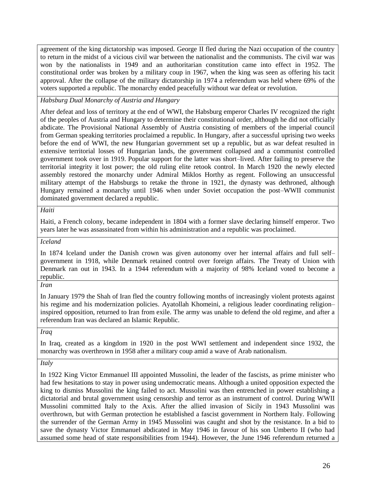agreement of the king dictatorship was imposed. George II fled during the Nazi occupation of the country to return in the midst of a vicious civil war between the nationalist and the communists. The civil war was won by the nationalists in 1949 and an authoritarian constitution came into effect in 1952. The constitutional order was broken by a military coup in 1967, when the king was seen as offering his tacit approval. After the collapse of the military dictatorship in 1974 a referendum was held where 69% of the voters supported a republic. The monarchy ended peacefully without war defeat or revolution.

*Habsburg Dual Monarchy of Austria and Hungary* 

After defeat and loss of territory at the end of WWI, the Habsburg emperor Charles IV recognized the right of the peoples of Austria and Hungary to determine their constitutional order, although he did not officially abdicate. The Provisional National Assembly of Austria consisting of members of the imperial council from German speaking territories proclaimed a republic. In Hungary, after a successful uprising two weeks before the end of WWI, the new Hungarian government set up a republic, but as war defeat resulted in extensive territorial losses of Hungarian lands, the government collapsed and a communist controlled government took over in 1919. Popular support for the latter was short–lived. After failing to preserve the territorial integrity it lost power; the old ruling elite retook control. In March 1920 the newly elected assembly restored the monarchy under Admiral Miklos Horthy as regent. Following an unsuccessful military attempt of the Habsburgs to retake the throne in 1921, the dynasty was dethroned, although Hungary remained a monarchy until 1946 when under Soviet occupation the post–WWII communist dominated government declared a republic.

*Haiti*

Haiti, a French colony, became independent in 1804 with a former slave declaring himself emperor. Two years later he was assassinated from within his administration and a republic was proclaimed.

*Iceland*

In 1874 Iceland under the Danish crown was given autonomy over her internal affairs and full self– government in 1918, while Denmark retained control over foreign affairs. The Treaty of Union with Denmark ran out in 1943. In a 1944 referendum with a majority of 98% Iceland voted to become a republic.

*Iran*

In January 1979 the Shah of Iran fled the country following months of increasingly violent protests against his regime and his modernization policies. Ayatollah Khomeini, a religious leader coordinating religion– inspired opposition, returned to Iran from exile. The army was unable to defend the old regime, and after a referendum Iran was declared an Islamic Republic.

*Iraq*

In Iraq, created as a kingdom in 1920 in the post WWI settlement and independent since 1932, the monarchy was overthrown in 1958 after a military coup amid a wave of Arab nationalism.

*Italy*

In 1922 King Victor Emmanuel III appointed Mussolini, the leader of the fascists, as prime minister who had few hesitations to stay in power using undemocratic means. Although a united opposition expected the king to dismiss Mussolini the king failed to act. Mussolini was then entrenched in power establishing a dictatorial and brutal government using censorship and terror as an instrument of control. During WWII Mussolini committed Italy to the Axis. After the allied invasion of Sicily in 1943 Mussolini was overthrown, but with German protection he established a fascist government in Northern Italy. Following the surrender of the German Army in 1945 Mussolini was caught and shot by the resistance. In a bid to save the dynasty Victor Emmanuel abdicated in May 1946 in favour of his son Umberto II (who had assumed some head of state responsibilities from 1944). However, the June 1946 referendum returned a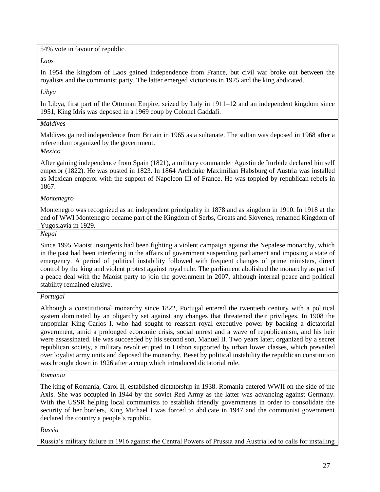54% vote in favour of republic.

*Laos*

In 1954 the kingdom of Laos gained independence from France, but civil war broke out between the royalists and the communist party. The latter emerged victorious in 1975 and the king abdicated.

## *Libya*

In Libya, first part of the Ottoman Empire, seized by Italy in 1911–12 and an independent kingdom since 1951, King Idris was deposed in a 1969 coup by Colonel Gaddafi.

#### *Maldives*

Maldives gained independence from Britain in 1965 as a sultanate. The sultan was deposed in 1968 after a referendum organized by the government.

## *Mexico*

After gaining independence from Spain (1821), a military commander Agustin de Iturbide declared himself emperor (1822). He was ousted in 1823. In 1864 Archduke Maximilian Habsburg of Austria was installed as Mexican emperor with the support of Napoleon III of France. He was toppled by republican rebels in 1867.

#### *Montenegro*

Montenegro was recognized as an independent principality in 1878 and as kingdom in 1910. In 1918 at the end of WWI Montenegro became part of the Kingdom of Serbs, Croats and Slovenes, renamed Kingdom of Yugoslavia in 1929.

*Nepal*

Since 1995 Maoist insurgents had been fighting a violent campaign against the Nepalese monarchy, which in the past had been interfering in the affairs of government suspending parliament and imposing a state of emergency. A period of political instability followed with frequent changes of prime ministers, direct control by the king and violent protest against royal rule. The parliament abolished the monarchy as part of a peace deal with the Maoist party to join the government in 2007, although internal peace and political stability remained elusive.

## *Portugal*

Although a constitutional monarchy since 1822, Portugal entered the twentieth century with a political system dominated by an oligarchy set against any changes that threatened their privileges. In 1908 the unpopular King Carlos I, who had sought to reassert royal executive power by backing a dictatorial government, amid a prolonged economic crisis, social unrest and a wave of republicanism, and his heir were assassinated. He was succeeded by his second son, Manuel II. Two years later, organized by a secret republican society, a military revolt erupted in Lisbon supported by urban lower classes, which prevailed over loyalist army units and deposed the monarchy. Beset by political instability the republican constitution was brought down in 1926 after a coup which introduced dictatorial rule.

#### *Romania*

The king of Romania, Carol II, established dictatorship in 1938. Romania entered WWII on the side of the Axis. She was occupied in 1944 by the soviet Red Army as the latter was advancing against Germany. With the USSR helping local communists to establish friendly governments in order to consolidate the security of her borders, King Michael I was forced to abdicate in 1947 and the communist government declared the country a people's republic.

### *Russia*

Russia's military failure in 1916 against the Central Powers of Prussia and Austria led to calls for installing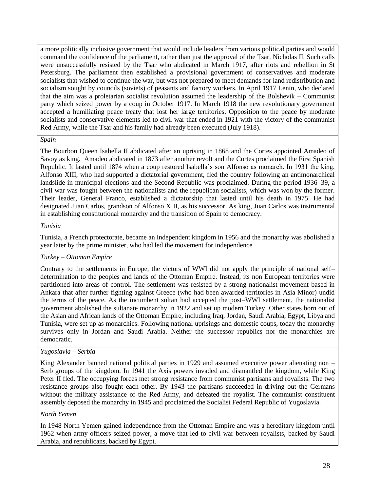a more politically inclusive government that would include leaders from various political parties and would command the confidence of the parliament, rather than just the approval of the Tsar, Nicholas II. Such calls were unsuccessfully resisted by the Tsar who abdicated in March 1917, after riots and rebellion in St Petersburg. The parliament then established a provisional government of conservatives and moderate socialists that wished to continue the war, but was not prepared to meet demands for land redistribution and socialism sought by councils (soviets) of peasants and factory workers. In April 1917 Lenin, who declared that the aim was a proletarian socialist revolution assumed the leadership of the Bolshevik – Communist party which seized power by a coup in October 1917. In March 1918 the new revolutionary government accepted a humiliating peace treaty that lost her large territories. Opposition to the peace by moderate socialists and conservative elements led to civil war that ended in 1921 with the victory of the communist Red Army, while the Tsar and his family had already been executed (July 1918).

#### *Spain*

The Bourbon Queen Isabella II abdicated after an uprising in 1868 and the Cortes appointed Amadeo of Savoy as king. Amadeo abdicated in 1873 after another revolt and the Cortes proclaimed the First Spanish Republic. It lasted until 1874 when a coup restored Isabella's son Alfonso as monarch. In 1931 the king, Alfonso XIII, who had supported a dictatorial government, fled the country following an antimonarchical landslide in municipal elections and the Second Republic was proclaimed. During the period 1936–39, a civil war was fought between the nationalists and the republican socialists, which was won by the former. Their leader, General Franco, established a dictatorship that lasted until his death in 1975. He had designated Juan Carlos, grandson of Alfonso XIII, as his successor. As king, Juan Carlos was instrumental in establishing constitutional monarchy and the transition of Spain to democracy.

### *Tunisia*

Tunisia, a French protectorate, became an independent kingdom in 1956 and the monarchy was abolished a year later by the prime minister, who had led the movement for independence

### *Turkey – Ottoman Empire*

Contrary to the settlements in Europe, the victors of WWI did not apply the principle of national self– determination to the peoples and lands of the Ottoman Empire. Instead, its non European territories were partitioned into areas of control. The settlement was resisted by a strong nationalist movement based in Ankara that after further fighting against Greece (who had been awarded territories in Asia Minor) undid the terms of the peace. As the incumbent sultan had accepted the post–WWI settlement, the nationalist government abolished the sultanate monarchy in 1922 and set up modern Turkey. Other states born out of the Asian and African lands of the Ottoman Empire, including Iraq, Jordan, Saudi Arabia, Egypt, Libya and Tunisia, were set up as monarchies. Following national uprisings and domestic coups, today the monarchy survives only in Jordan and Saudi Arabia. Neither the successor republics nor the monarchies are democratic.

### *Yugoslavia – Serbia*

King Alexander banned national political parties in 1929 and assumed executive power alienating non – Serb groups of the kingdom. In 1941 the Axis powers invaded and dismantled the kingdom, while King Peter II fled. The occupying forces met strong resistance from communist partisans and royalists. The two resistance groups also fought each other. By 1943 the partisans succeeded in driving out the Germans without the military assistance of the Red Army, and defeated the royalist. The communist constituent assembly deposed the monarchy in 1945 and proclaimed the Socialist Federal Republic of Yugoslavia.

### *North Yemen*

In 1948 North Yemen gained independence from the Ottoman Empire and was a hereditary kingdom until 1962 when army officers seized power, a move that led to civil war between royalists, backed by Saudi Arabia, and republicans, backed by Egypt.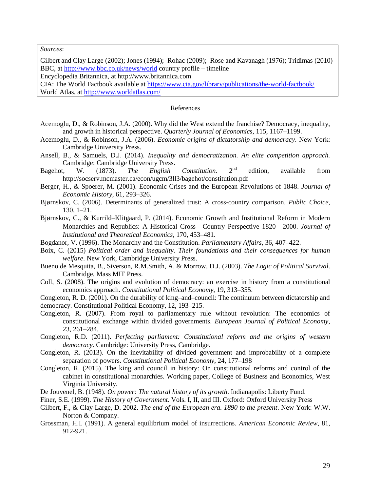*Sources*:

Gilbert and Clay Large (2002); Jones (1994); Rohac (2009); Rose and Kavanagh (1976); Tridimas (2010) BBC, at<http://www.bbc.co.uk/news/world> country profile – timeline Encyclopedia Britannica, at http://www.britannica.com CIA: The World Factbook available at<https://www.cia.gov/library/publications/the-world-factbook/>

World Atlas, at<http://www.worldatlas.com/>

#### References

- Acemoglu, D., & Robinson, J.A. (2000). Why did the West extend the franchise? Democracy, inequality, and growth in historical perspective. *Quarterly Journal of Economics*, 115, 1167–1199.
- Acemoglu, D., & Robinson, J.A. (2006). *Economic origins of dictatorship and democracy*. New York: Cambridge University Press.
- Ansell, B., & Samuels, D.J. (2014). *Inequality and democratization. An elite competition approach.* Cambridge: Cambridge University Press.
- Bagehot, W. (1873). *The English Constitution*. 2nd edition, available from http://socserv.mcmaster.ca/econ/ugcm/3ll3/bagehot/constitution.pdf
- Berger, H., & Spoerer, M. (2001). Economic Crises and the European Revolutions of 1848. *Journal of Economic History*, 61, 293–326.
- Bjørnskov, C. (2006). Determinants of generalized trust: A cross-country comparison. *Public Choice*, 130, 1–21.
- Bjørnskov, C., & Kurrild–Klitgaard, P. (2014). Economic Growth and Institutional Reform in Modern Monarchies and Republics: A Historical Cross‐Country Perspective 1820‐2000. *Journal of Institutional and Theoretical Economics*, 170, 453–481.
- Bogdanor, V. (1996). The Monarchy and the Constitution. *Parliamentary Affairs,* 36, 407–422.
- Boix, C. (2015) *Political order and inequality. Their foundations and their consequences for human welfare*. New York, Cambridge University Press.
- Bueno de Mesquita, B., Siverson, R.M.Smith, A. & Morrow, D.J. (2003). *The Logic of Political Survival*. Cambridge, Mass MIT Press.
- Coll, S. (2008). The origins and evolution of democracy: an exercise in history from a constitutional economics approach. *Constitutional Political Economy*, 19, 313–355.
- Congleton, R. D. (2001). On the durability of king–and–council: The continuum between dictatorship and democracy. Constitutional Political Economy, 12, 193–215.
- Congleton, R. (2007). From royal to parliamentary rule without revolution: The economics of constitutional exchange within divided governments. *European Journal of Political Economy*, 23, 261–284.
- Congleton, R.D. (2011). *Perfecting parliament: Constitutional reform and the origins of western democracy*. Cambridge: University Press, Cambridge.
- Congleton, R. (2013). On the inevitability of divided government and improbability of a complete separation of powers. *Constitutional Political Economy*, 24, 177–198
- Congleton, R. (2015). The king and council in history: On constitutional reforms and control of the cabinet in constitutional monarchies. Working paper, College of Business and Economics, West Virginia University.
- De Jouvenel, B. (1948). *On power: The natural history of its growth*. Indianapolis: Liberty Fund.
- Finer, S.E. (1999). *The History of Government*. Vols. I, II, and III. Oxford: Oxford University Press
- Gilbert, F., & Clay Large, D. 2002. *The end of the European era. 1890 to the present*. New York: W.W. Norton & Company.
- Grossman, H.I. (1991). A general equilibrium model of insurrections. *American Economic Review*, 81, 912-921.